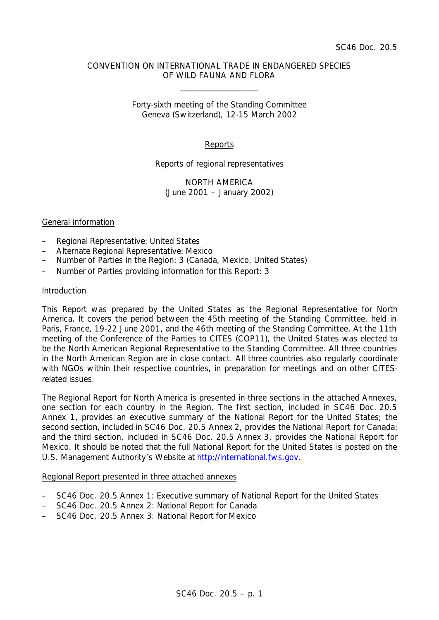#### CONVENTION ON INTERNATIONAL TRADE IN ENDANGERED SPECIES OF WILD FAUNA AND FLORA

\_\_\_\_\_\_\_\_\_\_\_\_\_\_\_\_\_\_\_\_

### Forty-sixth meeting of the Standing Committee Geneva (Switzerland), 12-15 March 2002

### Reports

#### Reports of regional representatives

NORTH AMERICA (June 2001 – January 2002)

#### General information

- Regional Representative: United States
- Alternate Regional Representative: Mexico
- Number of Parties in the Region: 3 (Canada, Mexico, United States)
- Number of Parties providing information for this Report: 3

#### Introduction

This Report was prepared by the United States as the Regional Representative for North America. It covers the period between the 45th meeting of the Standing Committee, held in Paris, France, 19-22 June 2001, and the 46th meeting of the Standing Committee. At the 11th meeting of the Conference of the Parties to CITES (COP11), the United States was elected to be the North American Regional Representative to the Standing Committee. All three countries in the North American Region are in close contact. All three countries also regularly coordinate with NGOs within their respective countries, in preparation for meetings and on other CITESrelated issues.

The Regional Report for North America is presented in three sections in the attached Annexes, one section for each country in the Region. The first section, included in SC46 Doc. 20.5 Annex 1, provides an executive summary of the National Report for the United States; the second section, included in SC46 Doc. 20.5 Annex 2, provides the National Report for Canada; and the third section, included in SC46 Doc. 20.5 Annex 3, provides the National Report for Mexico. It should be noted that the full National Report for the United States is posted on the U.S. Management Authority's Website at http://international.fws.gov.

Regional Report presented in three attached annexes

- SC46 Doc. 20.5 Annex 1: Executive summary of National Report for the United States
- SC46 Doc. 20.5 Annex 2: National Report for Canada
- SC46 Doc. 20.5 Annex 3: National Report for Mexico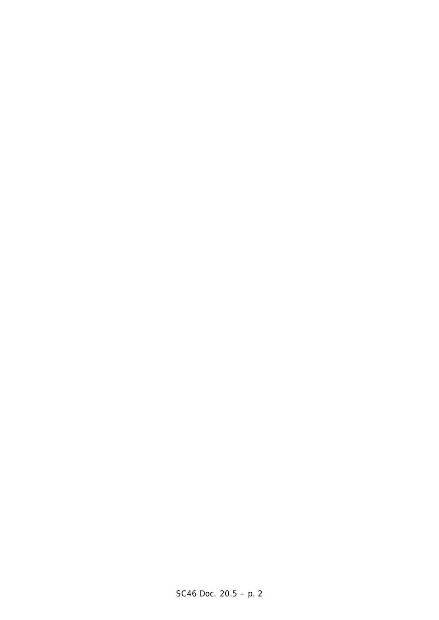SC46 Doc. 20.5 – p. 2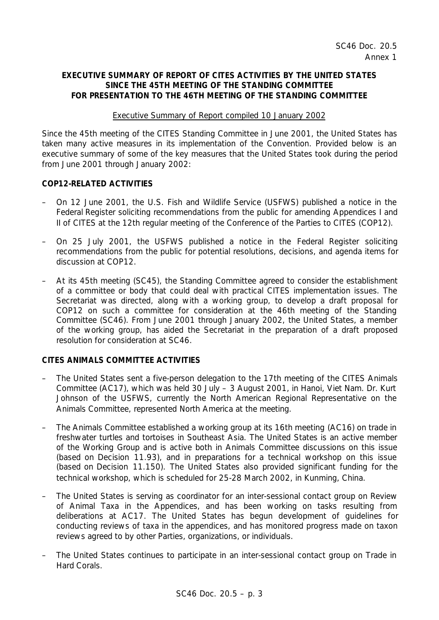# **EXECUTIVE SUMMARY OF REPORT OF CITES ACTIVITIES BY THE UNITED STATES SINCE THE 45TH MEETING OF THE STANDING COMMITTEE FOR PRESENTATION TO THE 46TH MEETING OF THE STANDING COMMITTEE**

### Executive Summary of Report compiled 10 January 2002

Since the 45th meeting of the CITES Standing Committee in June 2001, the United States has taken many active measures in its implementation of the Convention. Provided below is an executive summary of some of the key measures that the United States took during the period from June 2001 through January 2002:

#### **COP12-RELATED ACTIVITIES**

- On 12 June 2001, the U.S. Fish and Wildlife Service (USFWS) published a notice in the *Federal Register* soliciting recommendations from the public for amending Appendices I and II of CITES at the 12th regular meeting of the Conference of the Parties to CITES (COP12).
- On 25 July 2001, the USFWS published a notice in the *Federal Register* soliciting recommendations from the public for potential resolutions, decisions, and agenda items for discussion at COP12.
- At its 45th meeting (SC45), the Standing Committee agreed to consider the establishment of a committee or body that could deal with practical CITES implementation issues. The Secretariat was directed, along with a working group, to develop a draft proposal for COP12 on such a committee for consideration at the 46th meeting of the Standing Committee (SC46). From June 2001 through January 2002, the United States, a member of the working group, has aided the Secretariat in the preparation of a draft proposed resolution for consideration at SC46.

# **CITES ANIMALS COMMITTEE ACTIVITIES**

- The United States sent a five-person delegation to the 17th meeting of the CITES Animals Committee (AC17), which was held 30 July – 3 August 2001, in Hanoi, Viet Nam. Dr. Kurt Johnson of the USFWS, currently the North American Regional Representative on the Animals Committee, represented North America at the meeting.
- The Animals Committee established a working group at its 16th meeting (AC16) on trade in freshwater turtles and tortoises in Southeast Asia. The United States is an active member of the Working Group and is active both in Animals Committee discussions on this issue (based on Decision 11.93), and in preparations for a technical workshop on this issue (based on Decision 11.150). The United States also provided significant funding for the technical workshop, which is scheduled for 25-28 March 2002, in Kunming, China.
- The United States is serving as coordinator for an inter-sessional contact group on Review of Animal Taxa in the Appendices, and has been working on tasks resulting from deliberations at AC17. The United States has begun development of guidelines for conducting reviews of taxa in the appendices, and has monitored progress made on taxon reviews agreed to by other Parties, organizations, or individuals.
- The United States continues to participate in an inter-sessional contact group on Trade in Hard Corals.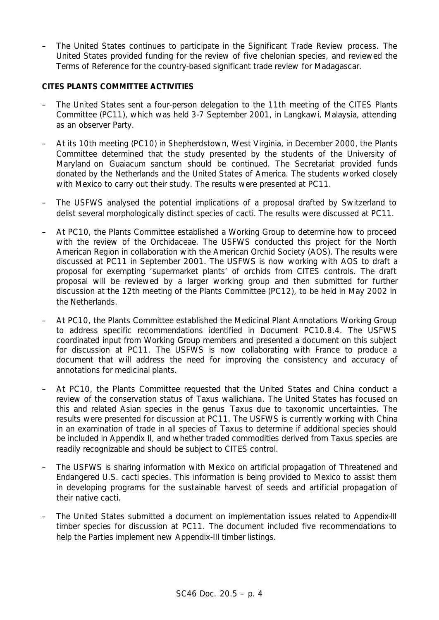– The United States continues to participate in the Significant Trade Review process. The United States provided funding for the review of five chelonian species, and reviewed the Terms of Reference for the country-based significant trade review for Madagascar.

# **CITES PLANTS COMMITTEE ACTIVITIES**

- The United States sent a four-person delegation to the 11th meeting of the CITES Plants Committee (PC11), which was held 3-7 September 2001, in Langkawi, Malaysia, attending as an observer Party.
- At its 10th meeting (PC10) in Shepherdstown, West Virginia, in December 2000, the Plants Committee determined that the study presented by the students of the University of Maryland on *Guaiacum sanctum* should be continued. The Secretariat provided funds donated by the Netherlands and the United States of America. The students worked closely with Mexico to carry out their study. The results were presented at PC11.
- The USFWS analysed the potential implications of a proposal drafted by Switzerland to delist several morphologically distinct species of cacti. The results were discussed at PC11.
- At PC10, the Plants Committee established a Working Group to determine how to proceed with the review of the Orchidaceae. The USFWS conducted this project for the North American Region in collaboration with the American Orchid Society (AOS). The results were discussed at PC11 in September 2001. The USFWS is now working with AOS to draft a proposal for exempting 'supermarket plants' of orchids from CITES controls. The draft proposal will be reviewed by a larger working group and then submitted for further discussion at the 12th meeting of the Plants Committee (PC12), to be held in May 2002 in the Netherlands.
- At PC10, the Plants Committee established the Medicinal Plant Annotations Working Group to address specific recommendations identified in Document PC10.8.4. The USFWS coordinated input from Working Group members and presented a document on this subject for discussion at PC11. The USFWS is now collaborating with France to produce a document that will address the need for improving the consistency and accuracy of annotations for medicinal plants.
- At PC10, the Plants Committee requested that the United States and China conduct a review of the conservation status of *Taxus wallichiana*. The United States has focused on this and related Asian species in the genus *Taxus* due to taxonomic uncertainties. The results were presented for discussion at PC11. The USFWS is currently working with China in an examination of trade in all species of *Taxus* to determine if additional species should be included in Appendix II, and whether traded commodities derived from *Taxus* species are readily recognizable and should be subject to CITES control.
- The USFWS is sharing information with Mexico on artificial propagation of Threatened and Endangered U.S. cacti species. This information is being provided to Mexico to assist them in developing programs for the sustainable harvest of seeds and artificial propagation of their native cacti.
- The United States submitted a document on implementation issues related to Appendix-III timber species for discussion at PC11. The document included five recommendations to help the Parties implement new Appendix-III timber listings.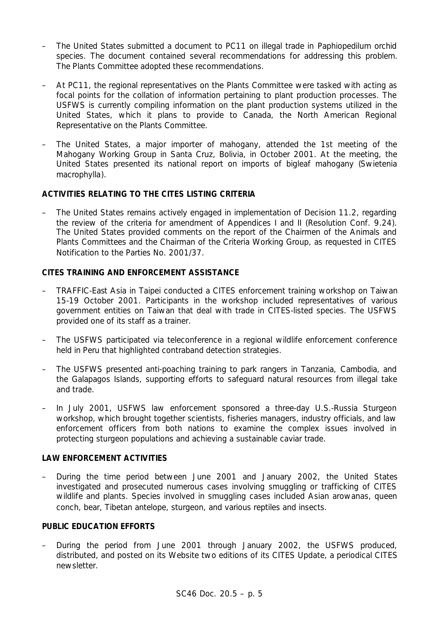- The United States submitted a document to PC11 on illegal trade in *Paphiopedilum* orchid species. The document contained several recommendations for addressing this problem. The Plants Committee adopted these recommendations.
- At PC11, the regional representatives on the Plants Committee were tasked with acting as focal points for the collation of information pertaining to plant production processes. The USFWS is currently compiling information on the plant production systems utilized in the United States, which it plans to provide to Canada, the North American Regional Representative on the Plants Committee.
- The United States, a major importer of mahogany, attended the 1st meeting of the Mahogany Working Group in Santa Cruz, Bolivia, in October 2001. At the meeting, the United States presented its national report on imports of bigleaf mahogany (*Swietenia macrophylla*).

# **ACTIVITIES RELATING TO THE CITES LISTING CRITERIA**

– The United States remains actively engaged in implementation of Decision 11.2, regarding the review of the criteria for amendment of Appendices I and II (Resolution Conf. 9.24). The United States provided comments on the report of the Chairmen of the Animals and Plants Committees and the Chairman of the Criteria Working Group, as requested in CITES Notification to the Parties No. 2001/37.

### **CITES TRAINING AND ENFORCEMENT ASSISTANCE**

- TRAFFIC-East Asia in Taipei conducted a CITES enforcement training workshop on Taiwan 15-19 October 2001. Participants in the workshop included representatives of various government entities on Taiwan that deal with trade in CITES-listed species. The USFWS provided one of its staff as a trainer.
- The USFWS participated via teleconference in a regional wildlife enforcement conference held in Peru that highlighted contraband detection strategies.
- The USFWS presented anti-poaching training to park rangers in Tanzania, Cambodia, and the Galapagos Islands, supporting efforts to safeguard natural resources from illegal take and trade.
- In July 2001, USFWS law enforcement sponsored a three-day U.S.-Russia Sturgeon workshop, which brought together scientists, fisheries managers, industry officials, and law enforcement officers from both nations to examine the complex issues involved in protecting sturgeon populations and achieving a sustainable caviar trade.

### **LAW ENFORCEMENT ACTIVITIES**

– During the time period between June 2001 and January 2002, the United States investigated and prosecuted numerous cases involving smuggling or trafficking of CITES wildlife and plants. Species involved in smuggling cases included Asian arowanas, queen conch, bear, Tibetan antelope, sturgeon, and various reptiles and insects.

#### **PUBLIC EDUCATION EFFORTS**

– During the period from June 2001 through January 2002, the USFWS produced, distributed, and posted on its Website two editions of its CITES Update, a periodical CITES newsletter.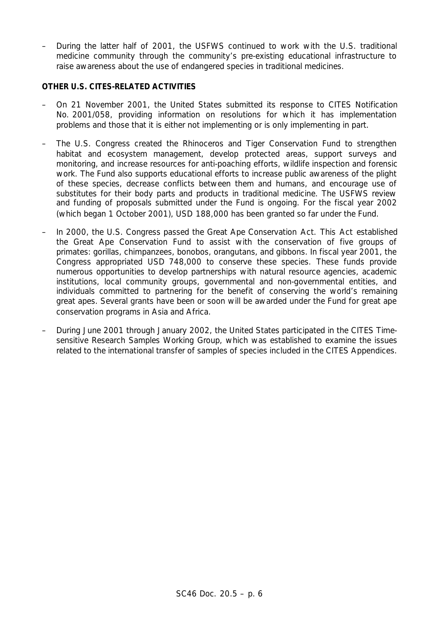– During the latter half of 2001, the USFWS continued to work with the U.S. traditional medicine community through the community's pre-existing educational infrastructure to raise awareness about the use of endangered species in traditional medicines.

## **OTHER U.S. CITES-RELATED ACTIVITIES**

- On 21 November 2001, the United States submitted its response to CITES Notification No. 2001/058, providing information on resolutions for which it has implementation problems and those that it is either not implementing or is only implementing in part.
- The U.S. Congress created the Rhinoceros and Tiger Conservation Fund to strengthen habitat and ecosystem management, develop protected areas, support surveys and monitoring, and increase resources for anti-poaching efforts, wildlife inspection and forensic work. The Fund also supports educational efforts to increase public awareness of the plight of these species, decrease conflicts between them and humans, and encourage use of substitutes for their body parts and products in traditional medicine. The USFWS review and funding of proposals submitted under the Fund is ongoing. For the fiscal year 2002 (which began 1 October 2001), USD 188,000 has been granted so far under the Fund.
- In 2000, the U.S. Congress passed the Great Ape Conservation Act. This Act established the Great Ape Conservation Fund to assist with the conservation of five groups of primates: gorillas, chimpanzees, bonobos, orangutans, and gibbons. In fiscal year 2001, the Congress appropriated USD 748,000 to conserve these species. These funds provide numerous opportunities to develop partnerships with natural resource agencies, academic institutions, local community groups, governmental and non-governmental entities, and individuals committed to partnering for the benefit of conserving the world's remaining great apes. Several grants have been or soon will be awarded under the Fund for great ape conservation programs in Asia and Africa.
- During June 2001 through January 2002, the United States participated in the CITES Timesensitive Research Samples Working Group, which was established to examine the issues related to the international transfer of samples of species included in the CITES Appendices.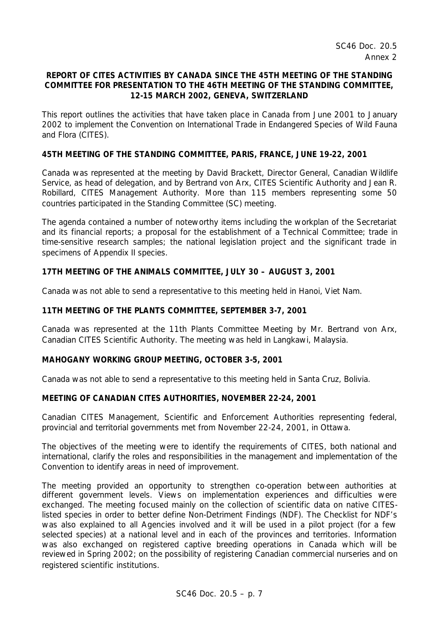### **REPORT OF CITES ACTIVITIES BY CANADA SINCE THE 45TH MEETING OF THE STANDING COMMITTEE FOR PRESENTATION TO THE 46TH MEETING OF THE STANDING COMMITTEE, 12-15 MARCH 2002, GENEVA, SWITZERLAND**

This report outlines the activities that have taken place in Canada from June 2001 to January 2002 to implement the Convention on International Trade in Endangered Species of Wild Fauna and Flora (CITES).

## **45TH MEETING OF THE STANDING COMMITTEE, PARIS, FRANCE, JUNE 19-22, 2001**

Canada was represented at the meeting by David Brackett, Director General, Canadian Wildlife Service, as head of delegation, and by Bertrand von Arx, CITES Scientific Authority and Jean R. Robillard, CITES Management Authority. More than 115 members representing some 50 countries participated in the Standing Committee (SC) meeting.

The agenda contained a number of noteworthy items including the workplan of the Secretariat and its financial reports; a proposal for the establishment of a Technical Committee; trade in time-sensitive research samples; the national legislation project and the significant trade in specimens of Appendix II species.

### **17TH MEETING OF THE ANIMALS COMMITTEE, JULY 30 – AUGUST 3, 2001**

Canada was not able to send a representative to this meeting held in Hanoi, Viet Nam.

### **11TH MEETING OF THE PLANTS COMMITTEE, SEPTEMBER 3-7, 2001**

Canada was represented at the 11th Plants Committee Meeting by Mr. Bertrand von Arx, Canadian CITES Scientific Authority. The meeting was held in Langkawi, Malaysia.

#### **MAHOGANY WORKING GROUP MEETING, OCTOBER 3-5, 2001**

Canada was not able to send a representative to this meeting held in Santa Cruz, Bolivia.

#### **MEETING OF CANADIAN CITES AUTHORITIES, NOVEMBER 22-24, 2001**

Canadian CITES Management, Scientific and Enforcement Authorities representing federal, provincial and territorial governments met from November 22-24, 2001, in Ottawa.

The objectives of the meeting were to identify the requirements of CITES, both national and international, clarify the roles and responsibilities in the management and implementation of the Convention to identify areas in need of improvement.

The meeting provided an opportunity to strengthen co-operation between authorities at different government levels. Views on implementation experiences and difficulties were exchanged. The meeting focused mainly on the collection of scientific data on native CITESlisted species in order to better define Non-Detriment Findings (NDF). The Checklist for NDF's was also explained to all Agencies involved and it will be used in a pilot project (for a few selected species) at a national level and in each of the provinces and territories. Information was also exchanged on registered captive breeding operations in Canada which will be reviewed in Spring 2002; on the possibility of registering Canadian commercial nurseries and on registered scientific institutions.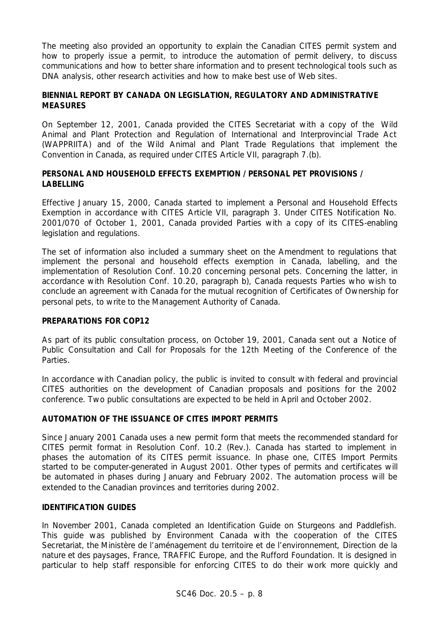The meeting also provided an opportunity to explain the Canadian CITES permit system and how to properly issue a permit, to introduce the automation of permit delivery, to discuss communications and how to better share information and to present technological tools such as DNA analysis, other research activities and how to make best use of Web sites.

## **BIENNIAL REPORT BY CANADA ON LEGISLATION, REGULATORY AND ADMINISTRATIVE MEASURES**

On September 12, 2001, Canada provided the CITES Secretariat with a copy of the *Wild Animal and Plant Protection and Regulation of International and Interprovincial Trade Act* (WAPPRIITA) and of the *Wild Animal and Plant Trade Regulations* that implement the Convention in Canada, as required under CITES Article VII, paragraph 7.(b).

### **PERSONAL AND HOUSEHOLD EFFECTS EXEMPTION / PERSONAL PET PROVISIONS / LABELLING**

Effective January 15, 2000, Canada started to implement a Personal and Household Effects Exemption in accordance with CITES Article VII, paragraph 3. Under CITES Notification No. 2001/070 of October 1, 2001, Canada provided Parties with a copy of its CITES-enabling legislation and regulations.

The set of information also included a summary sheet on the Amendment to regulations that implement the personal and household effects exemption in Canada, labelling, and the implementation of Resolution Conf. 10.20 concerning personal pets. Concerning the latter, in accordance with Resolution Conf. 10.20, paragraph b), Canada requests Parties who wish to conclude an agreement with Canada for the mutual recognition of Certificates of Ownership for personal pets, to write to the Management Authority of Canada.

#### **PREPARATIONS FOR COP12**

As part of its public consultation process, on October 19, 2001, Canada sent out a *Notice of Public Consultation and Call for Proposals for the 12th Meeting of the Conference of the Parties*.

In accordance with Canadian policy, the public is invited to consult with federal and provincial CITES authorities on the development of Canadian proposals and positions for the 2002 conference. Two public consultations are expected to be held in April and October 2002.

# **AUTOMATION OF THE ISSUANCE OF CITES IMPORT PERMITS**

Since January 2001 Canada uses a new permit form that meets the recommended standard for CITES permit format in Resolution Conf. 10.2 (Rev.). Canada has started to implement in phases the automation of its CITES permit issuance. In phase one, CITES Import Permits started to be computer-generated in August 2001. Other types of permits and certificates will be automated in phases during January and February 2002. The automation process will be extended to the Canadian provinces and territories during 2002.

#### **IDENTIFICATION GUIDES**

In November 2001, Canada completed an Identification Guide on Sturgeons and Paddlefish. This guide was published by Environment Canada with the cooperation of the CITES Secretariat, the *Ministère de l'aménagement du territoire et de l'environnement*, *Direction de la nature et des paysages*, France, TRAFFIC Europe, and the Rufford Foundation. It is designed in particular to help staff responsible for enforcing CITES to do their work more quickly and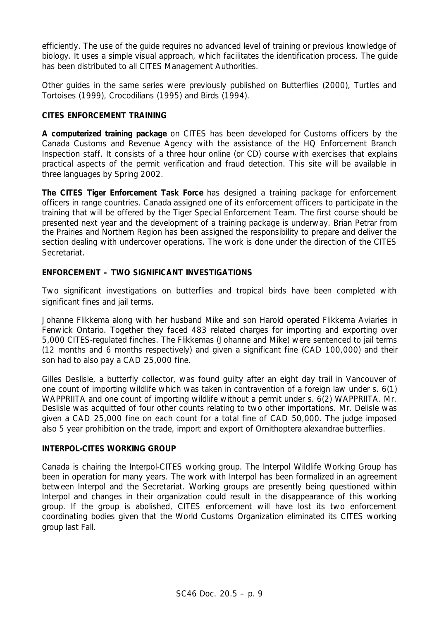efficiently. The use of the guide requires no advanced level of training or previous knowledge of biology. It uses a simple visual approach, which facilitates the identification process. The guide has been distributed to all CITES Management Authorities.

Other guides in the same series were previously published on Butterflies (2000), Turtles and Tortoises (1999), Crocodilians (1995) and Birds (1994).

# **CITES ENFORCEMENT TRAINING**

**A computerized training package** on CITES has been developed for Customs officers by the Canada Customs and Revenue Agency with the assistance of the HQ Enforcement Branch Inspection staff. It consists of a three hour online (or CD) course with exercises that explains practical aspects of the permit verification and fraud detection. This site will be available in three languages by Spring 2002.

**The CITES Tiger Enforcement Task Force** has designed a training package for enforcement officers in range countries. Canada assigned one of its enforcement officers to participate in the training that will be offered by the Tiger Special Enforcement Team. The first course should be presented next year and the development of a training package is underway. Brian Petrar from the Prairies and Northern Region has been assigned the responsibility to prepare and deliver the section dealing with undercover operations. The work is done under the direction of the CITES Secretariat.

### **ENFORCEMENT – TWO SIGNIFICANT INVESTIGATIONS**

Two significant investigations on butterflies and tropical birds have been completed with significant fines and jail terms.

Johanne Flikkema along with her husband Mike and son Harold operated Flikkema Aviaries in Fenwick Ontario. Together they faced 483 related charges for importing and exporting over 5,000 CITES-regulated finches. The Flikkemas (Johanne and Mike) were sentenced to jail terms (12 months and 6 months respectively) and given a significant fine (CAD 100,000) and their son had to also pay a CAD 25,000 fine.

Gilles Deslisle, a butterfly collector, was found guilty after an eight day trail in Vancouver of one count of importing wildlife which was taken in contravention of a foreign law under s. 6(1) WAPPRIITA and one count of importing wildlife without a permit under s. 6(2) WAPPRIITA. Mr. Deslisle was acquitted of four other counts relating to two other importations. Mr. Delisle was given a CAD 25,000 fine on each count for a total fine of CAD 50,000. The judge imposed also 5 year prohibition on the trade, import and export of *Ornithoptera alexandrae* butterflies.

#### **INTERPOL-CITES WORKING GROUP**

Canada is chairing the Interpol-CITES working group. The Interpol Wildlife Working Group has been in operation for many years. The work with Interpol has been formalized in an agreement between Interpol and the Secretariat. Working groups are presently being questioned within Interpol and changes in their organization could result in the disappearance of this working group. If the group is abolished, CITES enforcement will have lost its two enforcement coordinating bodies given that the World Customs Organization eliminated its CITES working group last Fall.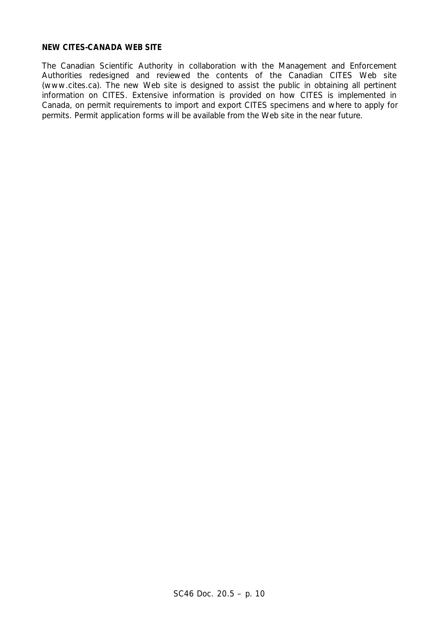#### **NEW CITES-CANADA WEB SITE**

The Canadian Scientific Authority in collaboration with the Management and Enforcement Authorities redesigned and reviewed the contents of the Canadian CITES Web site (www.cites.ca). The new Web site is designed to assist the public in obtaining all pertinent information on CITES. Extensive information is provided on how CITES is implemented in Canada, on permit requirements to import and export CITES specimens and where to apply for permits. Permit application forms will be available from the Web site in the near future.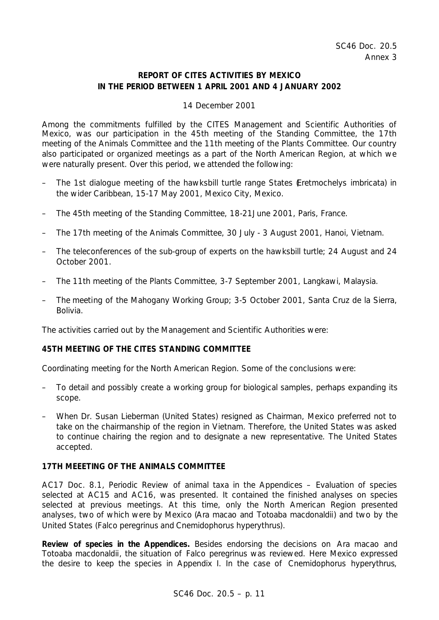## **REPORT OF CITES ACTIVITIES BY MEXICO IN THE PERIOD BETWEEN 1 APRIL 2001 AND 4 JANUARY 2002**

## 14 December 2001

Among the commitments fulfilled by the CITES Management and Scientific Authorities of Mexico, was our participation in the 45th meeting of the Standing Committee, the 17th meeting of the Animals Committee and the 11th meeting of the Plants Committee. Our country also participated or organized meetings as a part of the North American Region, at which we were naturally present. Over this period, we attended the following:

- The 1st dialogue meeting of the hawksbill turtle range States (*Eretmochelys imbricata*) in the wider Caribbean, 15-17 May 2001, Mexico City, Mexico.
- The 45th meeting of the Standing Committee, 18-21June 2001, Paris, France.
- The 17th meeting of the Animals Committee, 30 July 3 August 2001, Hanoi, Vietnam.
- The teleconferences of the sub-group of experts on the hawksbill turtle; 24 August and 24 October 2001.
- The 11th meeting of the Plants Committee, 3-7 September 2001, Langkawi, Malaysia.
- The meeting of the Mahogany Working Group; 3-5 October 2001, Santa Cruz de la Sierra, Bolivia.

The activities carried out by the Management and Scientific Authorities were:

# **45TH MEETING OF THE CITES STANDING COMMITTEE**

*Coordinating meeting for the North American Region.* Some of the conclusions were:

- To detail and possibly create a working group for biological samples, perhaps expanding its scope.
- When Dr. Susan Lieberman (United States) resigned as Chairman, Mexico preferred not to take on the chairmanship of the region in Vietnam. Therefore, the United States was asked to continue chairing the region and to designate a new representative. The United States accepted.

# **17TH MEEETING OF THE ANIMALS COMMITTEE**

AC17 Doc. 8.1, Periodic Review of animal taxa in the Appendices – Evaluation of species selected at AC15 and AC16, was presented. It contained the finished analyses on species selected at previous meetings. At this time, only the North American Region presented analyses, two of which were by Mexico (*Ara macao* and *Totoaba macdonaldii*) and two by the United States (*Falco peregrinus* and *Cnemidophorus hyperythrus*).

**Review of species in the Appendices.** Besides endorsing the decisions on *Ara macao* and *Totoaba macdonaldii*, the situation of *Falco peregrinus* was reviewed. Here Mexico expressed the desire to keep the species in Appendix I. In the case of *Cnemidophorus hyperythrus*,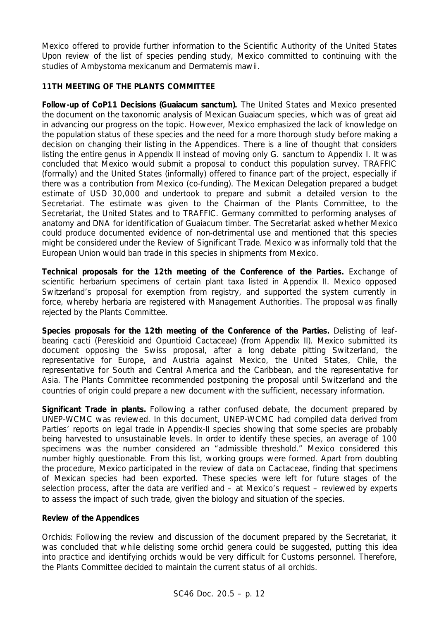Mexico offered to provide further information to the Scientific Authority of the United States Upon review of the list of species pending study, Mexico committed to continuing with the studies of *Ambystoma mexicanum* and *Dermatemis mawii*.

# **11TH MEETING OF THE PLANTS COMMITTEE**

**Follow-up of CoP11 Decisions (***Guaiacum sanctum***).** The United States and Mexico presented the document on the taxonomic analysis of Mexican *Guaiacum* species, which was of great aid in advancing our progress on the topic. However, Mexico emphasized the lack of knowledge on the population status of these species and the need for a more thorough study before making a decision on changing their listing in the Appendices. There is a line of thought that considers listing the entire genus in Appendix II instead of moving only *G. sanctum* to Appendix I. It was concluded that Mexico would submit a proposal to conduct this population survey. TRAFFIC (formally) and the United States (informally) offered to finance part of the project, especially if there was a contribution from Mexico (co-funding). The Mexican Delegation prepared a budget estimate of USD 30,000 and undertook to prepare and submit a detailed version to the Secretariat. The estimate was given to the Chairman of the Plants Committee, to the Secretariat, the United States and to TRAFFIC. Germany committed to performing analyses of anatomy and DNA for identification of *Guaiacum* timber. The Secretariat asked whether Mexico could produce documented evidence of non-detrimental use and mentioned that this species might be considered under the Review of Significant Trade. Mexico was informally told that the European Union would ban trade in this species in shipments from Mexico.

**Technical proposals for the 12th meeting of the Conference of the Parties.** Exchange of scientific herbarium specimens of certain plant taxa listed in Appendix II. Mexico opposed Switzerland's proposal for exemption from registry, and supported the system currently in force, whereby herbaria are registered with Management Authorities. The proposal was finally rejected by the Plants Committee.

**Species proposals for the 12th meeting of the Conference of the Parties.** Delisting of leafbearing cacti (Pereskioid and Opuntioid Cactaceae) (from Appendix II). Mexico submitted its document opposing the Swiss proposal, after a long debate pitting Switzerland, the representative for Europe, and Austria against Mexico, the United States, Chile, the representative for South and Central America and the Caribbean, and the representative for Asia. The Plants Committee recommended postponing the proposal until Switzerland and the countries of origin could prepare a new document with the sufficient, necessary information.

**Significant Trade in plants.** Following a rather confused debate, the document prepared by UNEP-WCMC was reviewed. In this document, UNEP-WCMC had compiled data derived from Parties' reports on legal trade in Appendix-II species showing that some species are probably being harvested to unsustainable levels. In order to identify these species, an average of 100 specimens was the number considered an "admissible threshold." Mexico considered this number highly questionable. From this list, working groups were formed. Apart from doubting the procedure, Mexico participated in the review of data on Cactaceae, finding that specimens of Mexican species had been exported. These species were left for future stages of the selection process, after the data are verified and – at Mexico's request – reviewed by experts to assess the impact of such trade, given the biology and situation of the species.

# **Review of the Appendices**

*Orchids*: Following the review and discussion of the document prepared by the Secretariat, it was concluded that while delisting some orchid genera could be suggested, putting this idea into practice and identifying orchids would be very difficult for Customs personnel. Therefore, the Plants Committee decided to maintain the current status of all orchids.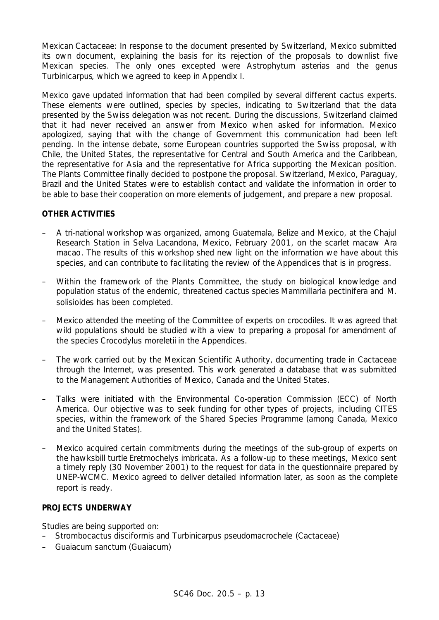*Mexican Cactaceae*: In response to the document presented by Switzerland, Mexico submitted its own document, explaining the basis for its rejection of the proposals to downlist five Mexican species. The only ones excepted were *Astrophytum asterias* and the genus *Turbinicarpus*, which we agreed to keep in Appendix I.

Mexico gave updated information that had been compiled by several different cactus experts. These elements were outlined, species by species, indicating to Switzerland that the data presented by the Swiss delegation was not recent. During the discussions, Switzerland claimed that it had never received an answer from Mexico when asked for information. Mexico apologized, saying that with the change of Government this communication had been left pending. In the intense debate, some European countries supported the Swiss proposal, with Chile, the United States, the representative for Central and South America and the Caribbean, the representative for Asia and the representative for Africa supporting the Mexican position. The Plants Committee finally decided to postpone the proposal. Switzerland, Mexico, Paraguay, Brazil and the United States were to establish contact and validate the information in order to be able to base their cooperation on more elements of judgement, and prepare a new proposal.

# **OTHER ACTIVITIES**

- A tri-national workshop was organized, among Guatemala, Belize and Mexico, at the Chajul Research Station in Selva Lacandona, Mexico, February 2001, on the scarlet macaw *Ara macao*. The results of this workshop shed new light on the information we have about this species, and can contribute to facilitating the review of the Appendices that is in progress.
- Within the framework of the Plants Committee, the study on biological knowledge and population status of the endemic, threatened cactus species *Mammillaria pectinifera* and *M. solisioides* has been completed.
- Mexico attended the meeting of the Committee of experts on crocodiles. It was agreed that wild populations should be studied with a view to preparing a proposal for amendment of the species *Crocodylus moreletii* in the Appendices.
- The work carried out by the Mexican Scientific Authority, documenting trade in Cactaceae through the Internet, was presented. This work generated a database that was submitted to the Management Authorities of Mexico, Canada and the United States.
- Talks were initiated with the Environmental Co-operation Commission (ECC) of North America. Our objective was to seek funding for other types of projects, including CITES species, within the framework of the Shared Species Programme (among Canada, Mexico and the United States).
- Mexico acquired certain commitments during the meetings of the sub-group of experts on the hawksbill turtle *Eretmochelys imbricata*. As a follow-up to these meetings, Mexico sent a timely reply (30 November 2001) to the request for data in the questionnaire prepared by UNEP-WCMC. Mexico agreed to deliver detailed information later, as soon as the complete report is ready.

### **PROJECTS UNDERWAY**

Studies are being supported on:

- *Strombocactus disciformis* and *Turbinicarpus pseudomacrochele* (Cactaceae)
- *Guaiacum sanctum* (*Guaiacum*)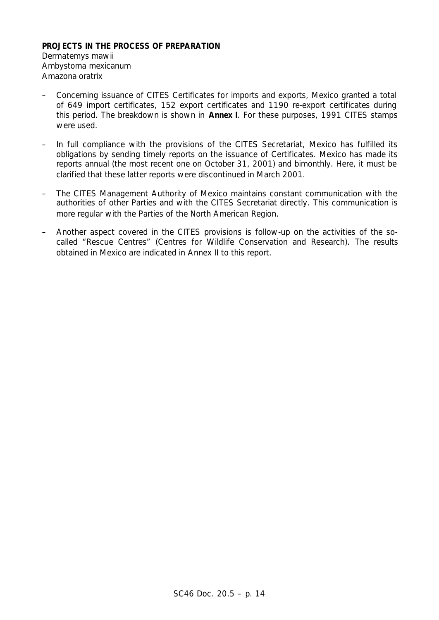### **PROJECTS IN THE PROCESS OF PREPARATION**

*Dermatemys mawii Ambystoma mexicanum Amazona oratrix*

- Concerning issuance of CITES Certificates for imports and exports, Mexico granted a total of 649 import certificates, 152 export certificates and 1190 re-export certificates during this period. The breakdown is shown in **Annex I**. For these purposes, 1991 CITES stamps were used.
- In full compliance with the provisions of the CITES Secretariat, Mexico has fulfilled its obligations by sending timely reports on the issuance of Certificates. Mexico has made its reports annual (the most recent one on October 31, 2001) and bimonthly. Here, it must be clarified that these latter reports were discontinued in March 2001.
- The CITES Management Authority of Mexico maintains constant communication with the authorities of other Parties and with the CITES Secretariat directly. This communication is more regular with the Parties of the North American Region.
- Another aspect covered in the CITES provisions is follow-up on the activities of the socalled "Rescue Centres" (Centres for Wildlife Conservation and Research). The results obtained in Mexico are indicated in Annex II to this report.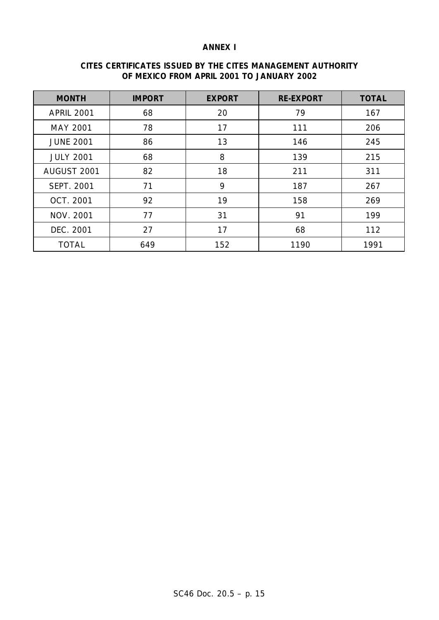## **ANNEX I**

| <b>MONTH</b>      | <b>IMPORT</b> | <b>EXPORT</b> | <b>RE-EXPORT</b> | <b>TOTAL</b> |
|-------------------|---------------|---------------|------------------|--------------|
| <b>APRIL 2001</b> | 68            | 20            | 79               | 167          |
| MAY 2001          | 78            | 17            | 111              | 206          |
| <b>JUNE 2001</b>  | 86            | 13            | 146              | 245          |
| <b>JULY 2001</b>  | 68            | 8             | 139              | 215          |
| AUGUST 2001       | 82            | 18            | 211              | 311          |
| SEPT. 2001        | 71            | 9             | 187              | 267          |
| OCT. 2001         | 92            | 19            | 158              | 269          |
| NOV. 2001         | 77            | 31            | 91               | 199          |
| DEC. 2001         | 27            | 17            | 68               | 112          |
| <b>TOTAL</b>      | 649           | 152           | 1190             | 1991         |

# **CITES CERTIFICATES ISSUED BY THE CITES MANAGEMENT AUTHORITY OF MEXICO FROM APRIL 2001 TO JANUARY 2002**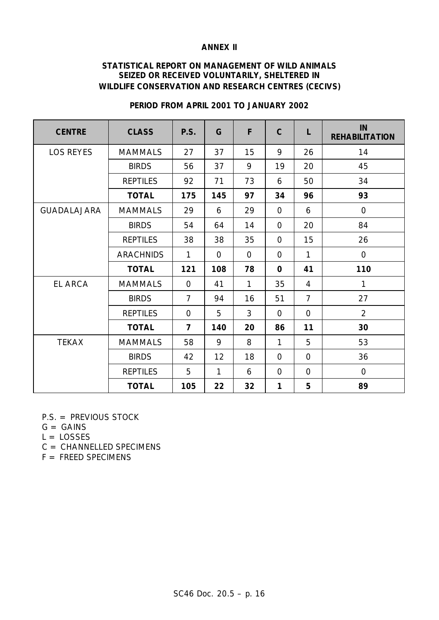#### **ANNEX II**

### **STATISTICAL REPORT ON MANAGEMENT OF WILD ANIMALS SEIZED OR RECEIVED VOLUNTARILY, SHELTERED IN WILDLIFE CONSERVATION AND RESEARCH CENTRES (CECIVS)**

| <b>CENTRE</b>      | <b>CLASS</b>     | P.S.           | G              | F              | $\mathbf C$  | L              | IN<br><b>REHABILITATION</b> |
|--------------------|------------------|----------------|----------------|----------------|--------------|----------------|-----------------------------|
| <b>LOS REYES</b>   | <b>MAMMALS</b>   | 27             | 37             | 15             | 9            | 26             | 14                          |
|                    | <b>BIRDS</b>     | 56             | 37             | 9              | 19           | 20             | 45                          |
|                    | <b>REPTILES</b>  | 92             | 71             | 73             | 6            | 50             | 34                          |
|                    | <b>TOTAL</b>     | 175            | 145            | 97             | 34           | 96             | 93                          |
| <b>GUADALAJARA</b> | <b>MAMMALS</b>   | 29             | 6              | 29             | $\Omega$     | 6              | $\overline{O}$              |
|                    | <b>BIRDS</b>     | 54             | 64             | 14             | $\Omega$     | 20             | 84                          |
|                    | <b>REPTILES</b>  | 38             | 38             | 35             | $\Omega$     | 15             | 26                          |
|                    | <b>ARACHNIDS</b> | $\mathbf{1}$   | $\overline{O}$ | $\overline{O}$ | $\Omega$     | 1              | $\overline{O}$              |
|                    | <b>TOTAL</b>     | 121            | 108            | 78             | $\mathbf 0$  | 41             | 110                         |
| <b>EL ARCA</b>     | <b>MAMMALS</b>   | $\Omega$       | 41             | 1              | 35           | 4              | 1                           |
|                    | <b>BIRDS</b>     | $\overline{7}$ | 94             | 16             | 51           | $\overline{7}$ | 27                          |
|                    | <b>REPTILES</b>  | $\overline{O}$ | 5              | 3              | $\Omega$     | $\overline{O}$ | 2                           |
|                    | <b>TOTAL</b>     | $\overline{7}$ | 140            | 20             | 86           | 11             | 30                          |
| <b>TEKAX</b>       | <b>MAMMALS</b>   | 58             | 9              | 8              | $\mathbf{1}$ | 5              | 53                          |
|                    | <b>BIRDS</b>     | 42             | 12             | 18             | $\Omega$     | $\overline{O}$ | 36                          |
|                    | <b>REPTILES</b>  | 5              | 1              | 6              | $\Omega$     | $\Omega$       | $\overline{O}$              |
|                    | <b>TOTAL</b>     | 105            | 22             | 32             | 1            | 5              | 89                          |

## **PERIOD FROM APRIL 2001 TO JANUARY 2002**

P.S. = PREVIOUS STOCK

 $G = GAMNS$ 

 $L =$  LOSSES

 $C =$  CHANNELLED SPECIMENS

 $F = FREED$  SPECIMENS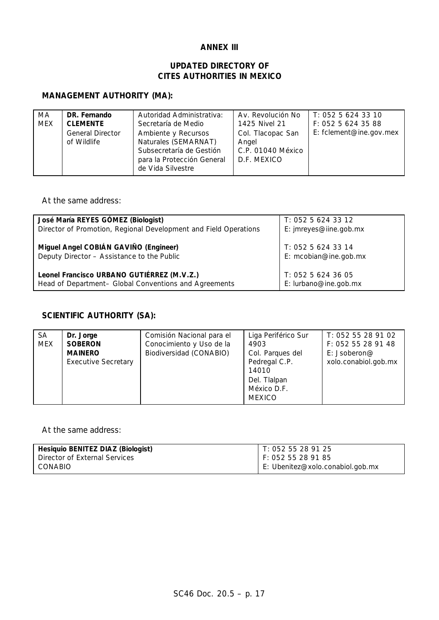### **ANNEX III**

# **UPDATED DIRECTORY OF CITES AUTHORITIES IN MEXICO**

# **MANAGEMENT AUTHORITY (MA):**

| MA         | DR. Fernando            | Autoridad Administrativa:  | Av. Revolución No | T: 052 5 624 33 10      |
|------------|-------------------------|----------------------------|-------------------|-------------------------|
| <b>MEX</b> | <b>CLEMENTE</b>         | Secretaría de Medio        | 1425 Nivel 21     | F: 052 5 624 35 88      |
|            | <b>General Director</b> | Ambiente y Recursos        | Col. Tlacopac San | E: fclement@ine.gov.mex |
|            | of Wildlife             | Naturales (SEMARNAT)       | Angel             |                         |
|            |                         | Subsecretaría de Gestión   | C.P. 01040 México |                         |
|            |                         | para la Protección General | D.F. MEXICO       |                         |
|            |                         | de Vida Silvestre          |                   |                         |

At the same address:

| José María REYES GÓMEZ (Biologist)                               | T: 052 5 624 33 12     |
|------------------------------------------------------------------|------------------------|
| Director of Promotion, Regional Development and Field Operations | E: jmreyes@iine.gob.mx |
| Miguel Angel COBIÁN GAVIÑO (Engineer)                            | T: 052 5 624 33 14     |
| Deputy Director - Assistance to the Public                       | E: mcobian@ine.gob.mx  |
| Leonel Francisco URBANO GUTIÉRREZ (M.V.Z.)                       | T: 052 5 624 36 05     |
| Head of Department- Global Conventions and Agreements            | E: lurbano@ine.gob.mx  |

# **SCIENTIFIC AUTHORITY (SA):**

| SA<br>Dr. Jorge<br><b>MEX</b><br><b>SOBERON</b><br><b>MAINERO</b><br><b>Executive Secretary</b> | Comisión Nacional para el<br>Conocimiento y Uso de la<br>Biodiversidad (CONABIO) | Liga Periférico Sur<br>4903<br>Col. Parques del<br>Pedregal C.P.<br>14010<br>Del. Tlalpan<br>México D.F.<br><b>MEXICO</b> | T: 052 55 28 91 02<br>F: 052 55 28 91 48<br>E: Jsoberon@<br>xolo.conabiol.gob.mx |
|-------------------------------------------------------------------------------------------------|----------------------------------------------------------------------------------|---------------------------------------------------------------------------------------------------------------------------|----------------------------------------------------------------------------------|
|-------------------------------------------------------------------------------------------------|----------------------------------------------------------------------------------|---------------------------------------------------------------------------------------------------------------------------|----------------------------------------------------------------------------------|

At the same address:

| Hesiquio BENITEZ DIAZ (Biologist) | T: 052 55 28 91 25               |
|-----------------------------------|----------------------------------|
| Director of External Services     | l F: 052 55 28 91 85             |
| <b>CONABIO</b>                    | E: Ubenitez@xolo.comabiol.gov.mx |